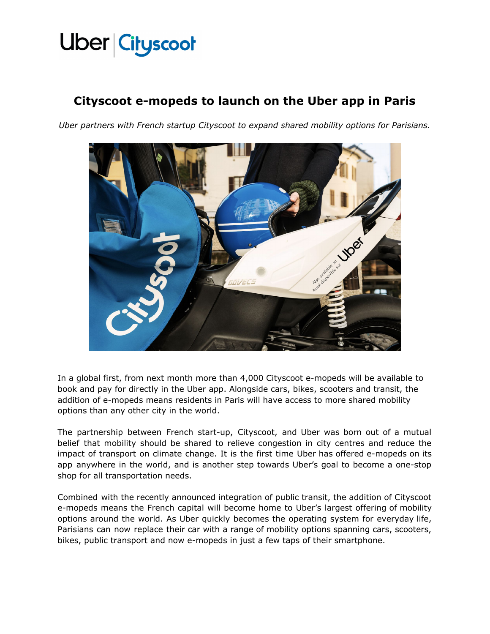### Uber Cityscoot

### **Cityscoot e-mopeds to launch on the Uber app in Paris**

*Uber partners with French startup Cityscoot to expand shared mobility options for Parisians.*



In a global first, from next month more than 4,000 Cityscoot e-mopeds will be available to book and pay for directly in the Uber app. Alongside cars, bikes, scooters and transit, the addition of e-mopeds means residents in Paris will have access to more shared mobility options than any other city in the world.

The partnership between French start-up, Cityscoot, and Uber was born out of a mutual belief that mobility should be shared to relieve congestion in city centres and reduce the impact of transport on climate change. It is the first time Uber has offered e-mopeds on its app anywhere in the world, and is another step towards Uber's goal to become a one-stop shop for all transportation needs.

Combined with the recently announced integration of public transit, the addition of Cityscoot e-mopeds means the French capital will become home to Uber's largest offering of mobility options around the world. As Uber quickly becomes the operating system for everyday life, Parisians can now replace their car with a range of mobility options spanning cars, scooters, bikes, public transport and now e-mopeds in just a few taps of their smartphone.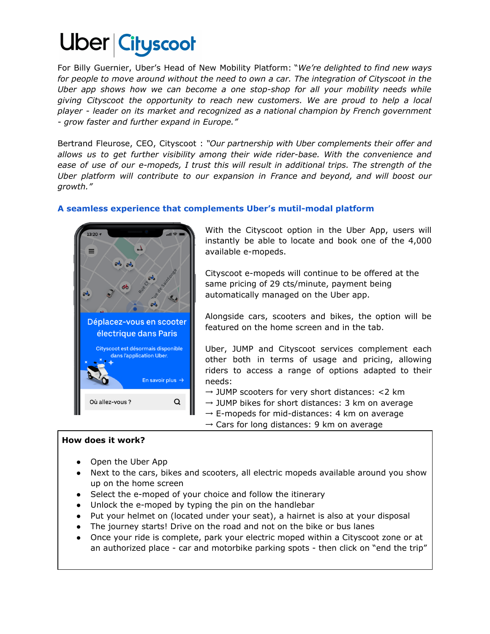## Uber Cityscoot

For Billy Guernier, Uber's Head of New Mobility Platform: "*We're delighted to find new ways for people to move around without the need to own a car. The integration of Cityscoot in the Uber app shows how we can become a one stop-shop for all your mobility needs while giving Cityscoot the opportunity to reach new customers. We are proud to help a local player - leader on its market and recognized as a national champion by French government - grow faster and further expand in Europe."*

Bertrand Fleurose, CEO, Cityscoot : *"Our partnership with Uber complements their offer and allows us to get further visibility among their wide rider-base. With the convenience and ease of use of our e-mopeds, I trust this will result in additional trips. The strength of the Uber platform will contribute to our expansion in France and beyond, and will boost our growth."*

#### **A seamless experience that complements Uber's mutil-modal platform**



With the Cityscoot option in the Uber App, users will instantly be able to locate and book one of the 4,000 available e-mopeds.

Cityscoot e-mopeds will continue to be offered at the same pricing of 29 cts/minute, payment being automatically managed on the Uber app.

Alongside cars, scooters and bikes, the option will be featured on the home screen and in the tab.

Uber, JUMP and Cityscoot services complement each other both in terms of usage and pricing, allowing riders to access a range of options adapted to their needs:

 $\rightarrow$  JUMP scooters for very short distances: <2 km

 $\rightarrow$  JUMP bikes for short distances: 3 km on average

 $\rightarrow$  E-mopeds for mid-distances: 4 km on average

 $\rightarrow$  Cars for long distances: 9 km on average

#### **How does it work?**

- Open the Uber App
- Next to the cars, bikes and scooters, all electric mopeds available around you show up on the home screen
- Select the e-moped of your choice and follow the itinerary
- Unlock the e-moped by typing the pin on the handlebar
- Put your helmet on (located under your seat), a hairnet is also at your disposal
- The journey starts! Drive on the road and not on the bike or bus lanes
- Once your ride is complete, park your electric moped within a Cityscoot zone or at an authorized place - car and motorbike parking spots - then click on "end the trip"